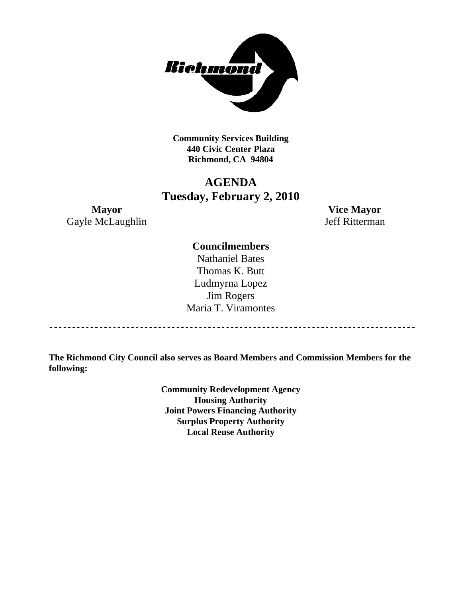

**Community Services Building 440 Civic Center Plaza Richmond, CA 94804** 

# **AGENDA Tuesday, February 2, 2010**

**Mayor Vice Mayor**  Gayle McLaughlin Jeff Ritterman

# **Councilmembers**

Nathaniel Bates Thomas K. Butt Ludmyrna Lopez Jim Rogers Maria T. Viramontes

**The Richmond City Council also serves as Board Members and Commission Members for the following:** 

> **Community Redevelopment Agency Housing Authority Joint Powers Financing Authority Surplus Property Authority Local Reuse Authority**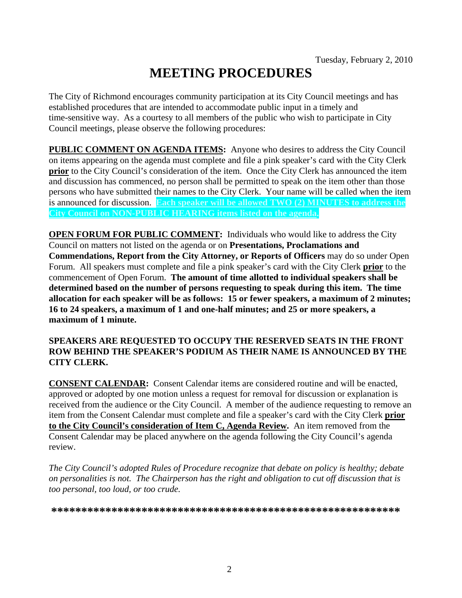# **MEETING PROCEDURES**

The City of Richmond encourages community participation at its City Council meetings and has established procedures that are intended to accommodate public input in a timely and time-sensitive way. As a courtesy to all members of the public who wish to participate in City Council meetings, please observe the following procedures:

**PUBLIC COMMENT ON AGENDA ITEMS:** Anyone who desires to address the City Council on items appearing on the agenda must complete and file a pink speaker's card with the City Clerk **prior** to the City Council's consideration of the item. Once the City Clerk has announced the item and discussion has commenced, no person shall be permitted to speak on the item other than those persons who have submitted their names to the City Clerk. Your name will be called when the item is announced for discussion. **Each speaker will be allowed TWO (2) MINUTES to address the City Council on NON-PUBLIC HEARING items listed on the agenda.** 

**OPEN FORUM FOR PUBLIC COMMENT:** Individuals who would like to address the City Council on matters not listed on the agenda or on **Presentations, Proclamations and Commendations, Report from the City Attorney, or Reports of Officers** may do so under Open Forum. All speakers must complete and file a pink speaker's card with the City Clerk **prior** to the commencement of Open Forum. **The amount of time allotted to individual speakers shall be determined based on the number of persons requesting to speak during this item. The time allocation for each speaker will be as follows: 15 or fewer speakers, a maximum of 2 minutes; 16 to 24 speakers, a maximum of 1 and one-half minutes; and 25 or more speakers, a maximum of 1 minute.** 

## **SPEAKERS ARE REQUESTED TO OCCUPY THE RESERVED SEATS IN THE FRONT ROW BEHIND THE SPEAKER'S PODIUM AS THEIR NAME IS ANNOUNCED BY THE CITY CLERK.**

**CONSENT CALENDAR:** Consent Calendar items are considered routine and will be enacted, approved or adopted by one motion unless a request for removal for discussion or explanation is received from the audience or the City Council. A member of the audience requesting to remove an item from the Consent Calendar must complete and file a speaker's card with the City Clerk **prior to the City Council's consideration of Item C, Agenda Review.** An item removed from the Consent Calendar may be placed anywhere on the agenda following the City Council's agenda review.

*The City Council's adopted Rules of Procedure recognize that debate on policy is healthy; debate on personalities is not. The Chairperson has the right and obligation to cut off discussion that is too personal, too loud, or too crude.* 

**\*\*\*\*\*\*\*\*\*\*\*\*\*\*\*\*\*\*\*\*\*\*\*\*\*\*\*\*\*\*\*\*\*\*\*\*\*\*\*\*\*\*\*\*\*\*\*\*\*\*\*\*\*\*\*\*\*\***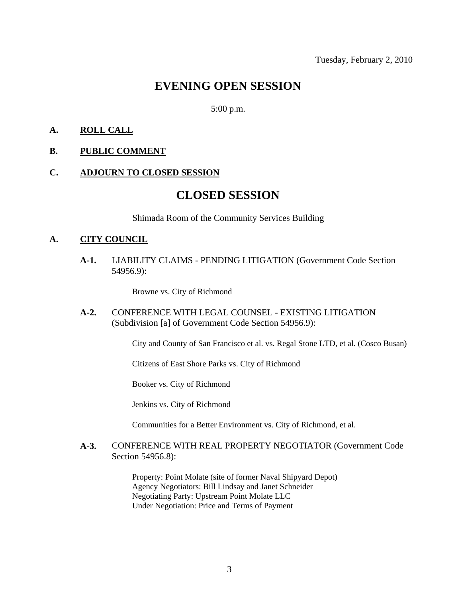# **EVENING OPEN SESSION**

5:00 p.m.

# **A. ROLL CALL**

## **B. PUBLIC COMMENT**

#### **C. ADJOURN TO CLOSED SESSION**

# **CLOSED SESSION**

Shimada Room of the Community Services Building

#### **A. CITY COUNCIL**

**A-1.** LIABILITY CLAIMS - PENDING LITIGATION (Government Code Section 54956.9):

Browne vs. City of Richmond

**A-2.** CONFERENCE WITH LEGAL COUNSEL - EXISTING LITIGATION (Subdivision [a] of Government Code Section 54956.9):

City and County of San Francisco et al. vs. Regal Stone LTD, et al. (Cosco Busan)

Citizens of East Shore Parks vs. City of Richmond

Booker vs. City of Richmond

Jenkins vs. City of Richmond

Communities for a Better Environment vs. City of Richmond, et al.

#### **A-3.** CONFERENCE WITH REAL PROPERTY NEGOTIATOR (Government Code Section 54956.8):

Property: Point Molate (site of former Naval Shipyard Depot) Agency Negotiators: Bill Lindsay and Janet Schneider Negotiating Party: Upstream Point Molate LLC Under Negotiation: Price and Terms of Payment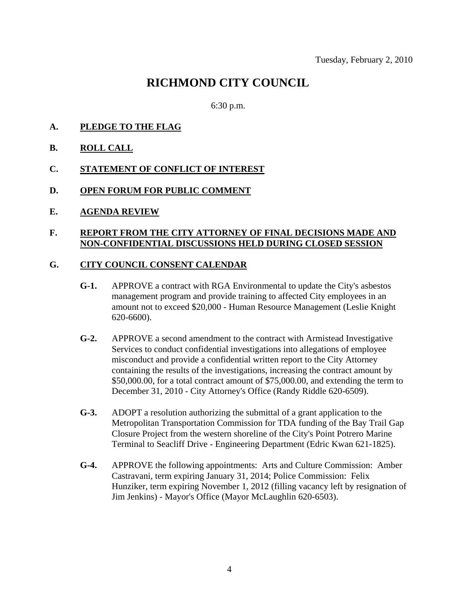# **RICHMOND CITY COUNCIL**

6:30 p.m.

- **A. PLEDGE TO THE FLAG**
- **B. ROLL CALL**
- **C. STATEMENT OF CONFLICT OF INTEREST**
- **D. OPEN FORUM FOR PUBLIC COMMENT**
- **E. AGENDA REVIEW**

#### **F. REPORT FROM THE CITY ATTORNEY OF FINAL DECISIONS MADE AND NON-CONFIDENTIAL DISCUSSIONS HELD DURING CLOSED SESSION**

#### **G. CITY COUNCIL CONSENT CALENDAR**

- **G-1.** APPROVE a contract with RGA Environmental to update the City's asbestos management program and provide training to affected City employees in an amount not to exceed \$20,000 - Human Resource Management (Leslie Knight 620-6600).
- **G-2.** APPROVE a second amendment to the contract with Armistead Investigative Services to conduct confidential investigations into allegations of employee misconduct and provide a confidential written report to the City Attorney containing the results of the investigations, increasing the contract amount by \$50,000.00, for a total contract amount of \$75,000.00, and extending the term to December 31, 2010 - City Attorney's Office (Randy Riddle 620-6509).
- **G-3.** ADOPT a resolution authorizing the submittal of a grant application to the Metropolitan Transportation Commission for TDA funding of the Bay Trail Gap Closure Project from the western shoreline of the City's Point Potrero Marine Terminal to Seacliff Drive - Engineering Department (Edric Kwan 621-1825).
- **G-4.** APPROVE the following appointments: Arts and Culture Commission: Amber Castravani, term expiring January 31, 2014; Police Commission: Felix Hunziker, term expiring November 1, 2012 (filling vacancy left by resignation of Jim Jenkins) - Mayor's Office (Mayor McLaughlin 620-6503).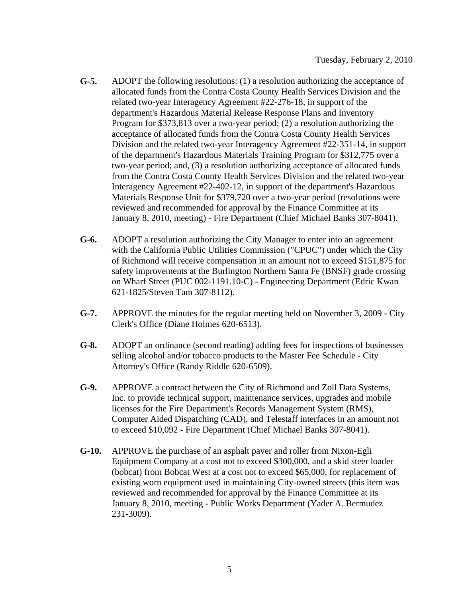- **G-5.** ADOPT the following resolutions: (1) a resolution authorizing the acceptance of allocated funds from the Contra Costa County Health Services Division and the related two-year Interagency Agreement #22-276-18, in support of the department's Hazardous Material Release Response Plans and Inventory Program for \$373,813 over a two-year period; (2) a resolution authorizing the acceptance of allocated funds from the Contra Costa County Health Services Division and the related two-year Interagency Agreement #22-351-14, in support of the department's Hazardous Materials Training Program for \$312,775 over a two-year period; and, (3) a resolution authorizing acceptance of allocated funds from the Contra Costa County Health Services Division and the related two-year Interagency Agreement #22-402-12, in support of the department's Hazardous Materials Response Unit for \$379,720 over a two-year period (resolutions were reviewed and recommended for approval by the Finance Committee at its January 8, 2010, meeting) - Fire Department (Chief Michael Banks 307-8041).
- **G-6.** ADOPT a resolution authorizing the City Manager to enter into an agreement with the California Public Utilities Commission ("CPUC") under which the City of Richmond will receive compensation in an amount not to exceed \$151,875 for safety improvements at the Burlington Northern Santa Fe (BNSF) grade crossing on Wharf Street (PUC 002-1191.10-C) - Engineering Department (Edric Kwan 621-1825/Steven Tam 307-8112).
- **G-7.** APPROVE the minutes for the regular meeting held on November 3, 2009 City Clerk's Office (Diane Holmes 620-6513).
- **G-8.** ADOPT an ordinance (second reading) adding fees for inspections of businesses selling alcohol and/or tobacco products to the Master Fee Schedule - City Attorney's Office (Randy Riddle 620-6509).
- **G-9.** APPROVE a contract between the City of Richmond and Zoll Data Systems, Inc. to provide technical support, maintenance services, upgrades and mobile licenses for the Fire Department's Records Management System (RMS), Computer Aided Dispatching (CAD), and Telestaff interfaces in an amount not to exceed \$10,092 - Fire Department (Chief Michael Banks 307-8041).
- **G-10.** APPROVE the purchase of an asphalt paver and roller from Nixon-Egli Equipment Company at a cost not to exceed \$300,000, and a skid steer loader (bobcat) from Bobcat West at a cost not to exceed \$65,000, for replacement of existing worn equipment used in maintaining City-owned streets (this item was reviewed and recommended for approval by the Finance Committee at its January 8, 2010, meeting - Public Works Department (Yader A. Bermudez 231-3009).